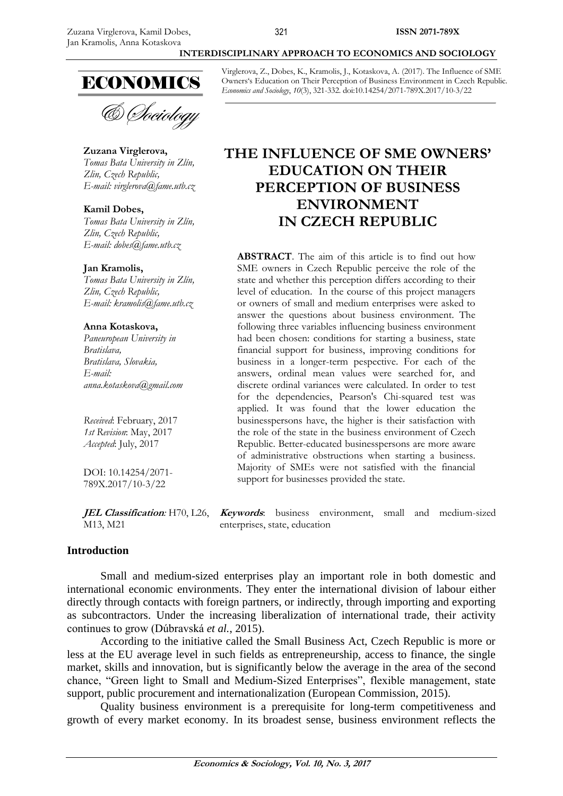# **ECONOMICS**

& *Dociology* 

#### **Zuzana Virglerova,** *Tomas Bata University in Zlín, Zlin, Czech Republic, E-mail: [virglerova@fame.utb.cz](mailto:virglerova@fame.utb.cz)*

**Kamil Dobes,**

*Tomas Bata University in Zlín, Zlin, Czech Republic, E-mail: [dobes@fame.utb.cz](mailto:dobes@fame.utb.cz)*

#### **Jan Kramolis,**

*Tomas Bata University in Zlín, Zlin, Czech Republic, E-mail: [kramolis@fame.utb.cz](mailto:kramolis@fame.utb.cz)*

#### **Anna Kotaskova,**

*Paneuropean University in Bratislava, Bratislava, Slovakia, E-mail: [anna.kotaskova@gmail.com](mailto:anna.kotaskova@gmail.com)*

*Received*: February, 2017 *1st Revision*: May, 2017 *Accepted*: July, 2017

DOI: 10.14254/2071- 789X.2017/10-3/22

M13, M21

Virglerova, Z., Dobes, K., Kramolis, J., Kotaskova, A. (2017). The Influence of SME Owners's Education on Their Perception of Business Environment in Czech Republic. *Economics and Sociology*, *10*(3), 321-332. doi:10.14254/2071-789X.2017/10-3/22

**INTERDISCIPLINARY APPROACH TO ECONOMICS AND SOCIOLOGY**

# **THE INFLUENCE OF SME OWNERS' EDUCATION ON THEIR PERCEPTION OF BUSINESS ENVIRONMENT IN CZECH REPUBLIC**

**ABSTRACT**. The aim of this article is to find out how SME owners in Czech Republic perceive the role of the state and whether this perception differs according to their level of education. In the course of this project managers or owners of small and medium enterprises were asked to answer the questions about business environment. The following three variables influencing business environment had been chosen: conditions for starting a business, state financial support for business, improving conditions for business in a longer-term pespective. For each of the answers, ordinal mean values were searched for, and discrete ordinal variances were calculated. In order to test for the dependencies, Pearson's Chi-squared test was applied. It was found that the lower education the businesspersons have, the higher is their satisfaction with the role of the state in the business environment of Czech Republic. Better-educated businesspersons are more aware of administrative obstructions when starting a business. Majority of SMEs were not satisfied with the financial support for businesses provided the state.

**JEL Classification***:* H70, L26, **Keywords**: business environment, small and medium-sized enterprises, state, education

# **Introduction**

Small and medium-sized enterprises play an important role in both domestic and international economic environments. They enter the international division of labour either directly through contacts with foreign partners, or indirectly, through importing and exporting as subcontractors. Under the increasing liberalization of international trade, their activity continues to grow (Dúbravská *et al.*, 2015).

According to the initiative called the Small Business Act, Czech Republic is more or less at the EU average level in such fields as entrepreneurship, access to finance, the single market, skills and innovation, but is significantly below the average in the area of the second chance, "Green light to Small and Medium-Sized Enterprises", flexible management, state support, public procurement and internationalization (European Commission, 2015).

Quality business environment is a prerequisite for long-term competitiveness and growth of every market economy. In its broadest sense, business environment reflects the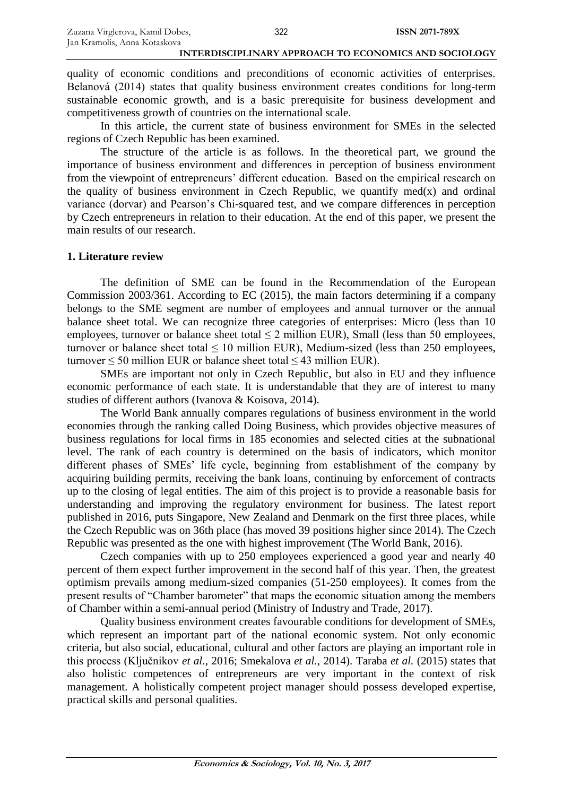quality of economic conditions and preconditions of economic activities of enterprises. Belanová (2014) states that quality business environment creates conditions for long-term sustainable economic growth, and is a basic prerequisite for business development and competitiveness growth of countries on the international scale.

In this article, the current state of business environment for SMEs in the selected regions of Czech Republic has been examined.

The structure of the article is as follows. In the theoretical part, we ground the importance of business environment and differences in perception of business environment from the viewpoint of entrepreneurs' different education. Based on the empirical research on the quality of business environment in Czech Republic, we quantify med $(x)$  and ordinal variance (dorvar) and Pearson's Chi-squared test, and we compare differences in perception by Czech entrepreneurs in relation to their education. At the end of this paper, we present the main results of our research.

#### **1. Literature review**

The definition of SME can be found in the Recommendation of the European Commission 2003/361. According to EC (2015), the main factors determining if a company belongs to the SME segment are number of employees and annual turnover or the annual balance sheet total. We can recognize three categories of enterprises: Micro (less than 10 employees, turnover or balance sheet total  $\leq$  2 million EUR), Small (less than 50 employees, turnover or balance sheet total ≤ 10 million EUR), Medium-sized (less than 250 employees, turnover  $\leq$  50 million EUR or balance sheet total  $\leq$  43 million EUR).

SMEs are important not only in Czech Republic, but also in EU and they influence economic performance of each state. It is understandable that they are of interest to many studies of different authors (Ivanova & Koisova, 2014).

The World Bank annually compares regulations of business environment in the world economies through the ranking called Doing Business, which provides objective measures of business regulations for local firms in 185 economies and selected cities at the subnational level. The rank of each country is determined on the basis of indicators, which monitor different phases of SMEs' life cycle, beginning from establishment of the company by acquiring building permits, receiving the bank loans, continuing by enforcement of contracts up to the closing of legal entities. The aim of this project is to provide a reasonable basis for understanding and improving the regulatory environment for business. The latest report published in 2016, puts Singapore, New Zealand and Denmark on the first three places, while the Czech Republic was on 36th place (has moved 39 positions higher since 2014). The Czech Republic was presented as the one with highest improvement (The World Bank, 2016).

Czech companies with up to 250 employees experienced a good year and nearly 40 percent of them expect further improvement in the second half of this year. Then, the greatest optimism prevails among medium-sized companies (51-250 employees). It comes from the present results of "Chamber barometer" that maps the economic situation among the members of Chamber within a semi-annual period (Ministry of Industry and Trade, 2017).

Quality business environment creates favourable conditions for development of SMEs, which represent an important part of the national economic system. Not only economic criteria, but also social, educational, cultural and other factors are playing an important role in this process (Ključnikov *et al.*, 2016; Smekalova *et al.*, 2014). Taraba *et al.* (2015) states that also holistic competences of entrepreneurs are very important in the context of risk management. A holistically competent project manager should possess developed expertise, practical skills and personal qualities.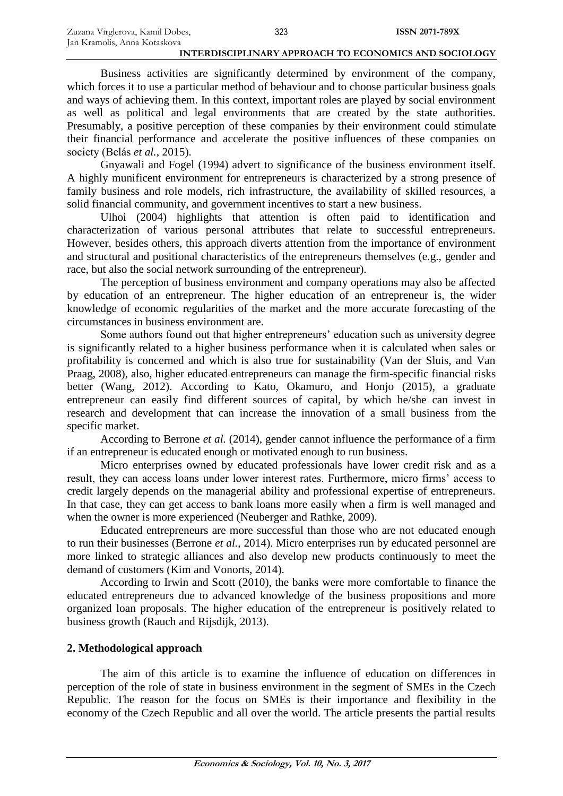Business activities are significantly determined by environment of the company, which forces it to use a particular method of behaviour and to choose particular business goals and ways of achieving them. In this context, important roles are played by social environment as well as political and legal environments that are created by the state authorities. Presumably, a positive perception of these companies by their environment could stimulate their financial performance and accelerate the positive influences of these companies on society (Belás *et al.*, 2015).

Gnyawali and Fogel (1994) advert to significance of the business environment itself. A highly munificent environment for entrepreneurs is characterized by a strong presence of family business and role models, rich infrastructure, the availability of skilled resources, a solid financial community, and government incentives to start a new business.

Ulhoi (2004) highlights that attention is often paid to identification and characterization of various personal attributes that relate to successful entrepreneurs. However, besides others, this approach diverts attention from the importance of environment and structural and positional characteristics of the entrepreneurs themselves (e.g., gender and race, but also the social network surrounding of the entrepreneur).

The perception of business environment and company operations may also be affected by education of an entrepreneur. The higher education of an entrepreneur is, the wider knowledge of economic regularities of the market and the more accurate forecasting of the circumstances in business environment are.

Some authors found out that higher entrepreneurs' education such as university degree is significantly related to a higher business performance when it is calculated when sales or profitability is concerned and which is also true for sustainability (Van der Sluis, and Van Praag, 2008), also, higher educated entrepreneurs can manage the firm-specific financial risks better (Wang, 2012). According to Kato, Okamuro, and Honjo (2015), a graduate entrepreneur can easily find different sources of capital, by which he/she can invest in research and development that can increase the innovation of a small business from the specific market.

According to Berrone *et al.* (2014), gender cannot influence the performance of a firm if an entrepreneur is educated enough or motivated enough to run business.

Micro enterprises owned by educated professionals have lower credit risk and as a result, they can access loans under lower interest rates. Furthermore, micro firms' access to credit largely depends on the managerial ability and professional expertise of entrepreneurs. In that case, they can get access to bank loans more easily when a firm is well managed and when the owner is more experienced (Neuberger and Rathke, 2009).

Educated entrepreneurs are more successful than those who are not educated enough to run their businesses (Berrone *et al.*, 2014). Micro enterprises run by educated personnel are more linked to strategic alliances and also develop new products continuously to meet the demand of customers (Kim and Vonorts, 2014).

According to Irwin and Scott (2010), the banks were more comfortable to finance the educated entrepreneurs due to advanced knowledge of the business propositions and more organized loan proposals. The higher education of the entrepreneur is positively related to business growth (Rauch and Rijsdijk, 2013).

## **2. Methodological approach**

The aim of this article is to examine the influence of education on differences in perception of the role of state in business environment in the segment of SMEs in the Czech Republic. The reason for the focus on SMEs is their importance and flexibility in the economy of the Czech Republic and all over the world. The article presents the partial results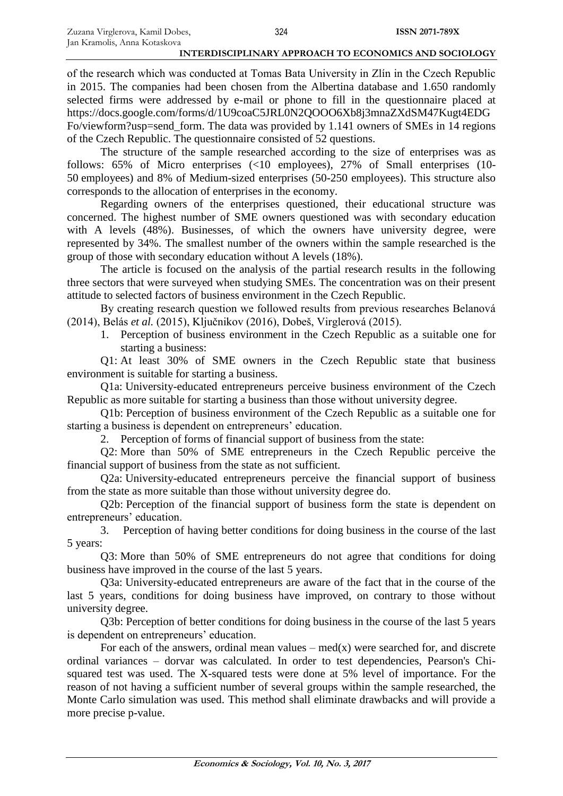of the research which was conducted at Tomas Bata University in Zlín in the Czech Republic in 2015. The companies had been chosen from the Albertina database and 1.650 randomly selected firms were addressed by e-mail or phone to fill in the questionnaire placed at https://docs.google.com/forms/d/1U9coaC5JRL0N2QOOO6Xb8j3mnaZXdSM47Kugt4EDG Fo/viewform?usp=send\_form. The data was provided by 1.141 owners of SMEs in 14 regions of the Czech Republic. The questionnaire consisted of 52 questions.

The structure of the sample researched according to the size of enterprises was as follows: 65% of Micro enterprises (<10 employees), 27% of Small enterprises (10-50 employees) and 8% of Medium-sized enterprises (50-250 employees). This structure also corresponds to the allocation of enterprises in the economy.

Regarding owners of the enterprises questioned, their educational structure was concerned. The highest number of SME owners questioned was with secondary education with A levels (48%). Businesses, of which the owners have university degree, were represented by 34%. The smallest number of the owners within the sample researched is the group of those with secondary education without A levels (18%).

The article is focused on the analysis of the partial research results in the following three sectors that were surveyed when studying SMEs. The concentration was on their present attitude to selected factors of business environment in the Czech Republic.

By creating research question we followed results from previous researches Belanová (2014), Belás *et al.* (2015), Ključnikov (2016), Dobeš, Virglerová (2015).

1. Perception of business environment in the Czech Republic as a suitable one for starting a business:

Q1: At least 30% of SME owners in the Czech Republic state that business environment is suitable for starting a business.

Q1a: University-educated entrepreneurs perceive business environment of the Czech Republic as more suitable for starting a business than those without university degree.

Q1b: Perception of business environment of the Czech Republic as a suitable one for starting a business is dependent on entrepreneurs' education.

2. Perception of forms of financial support of business from the state:

Q2: More than 50% of SME entrepreneurs in the Czech Republic perceive the financial support of business from the state as not sufficient.

Q2a: University-educated entrepreneurs perceive the financial support of business from the state as more suitable than those without university degree do.

Q2b: Perception of the financial support of business form the state is dependent on entrepreneurs' education.

3. Perception of having better conditions for doing business in the course of the last 5 years:

Q3: More than 50% of SME entrepreneurs do not agree that conditions for doing business have improved in the course of the last 5 years.

Q3a: University-educated entrepreneurs are aware of the fact that in the course of the last 5 years, conditions for doing business have improved, on contrary to those without university degree.

Q3b: Perception of better conditions for doing business in the course of the last 5 years is dependent on entrepreneurs' education.

For each of the answers, ordinal mean values –  $med(x)$  were searched for, and discrete ordinal variances – dorvar was calculated. In order to test dependencies, Pearson's Chisquared test was used. The X-squared tests were done at 5% level of importance. For the reason of not having a sufficient number of several groups within the sample researched, the Monte Carlo simulation was used. This method shall eliminate drawbacks and will provide a more precise p-value.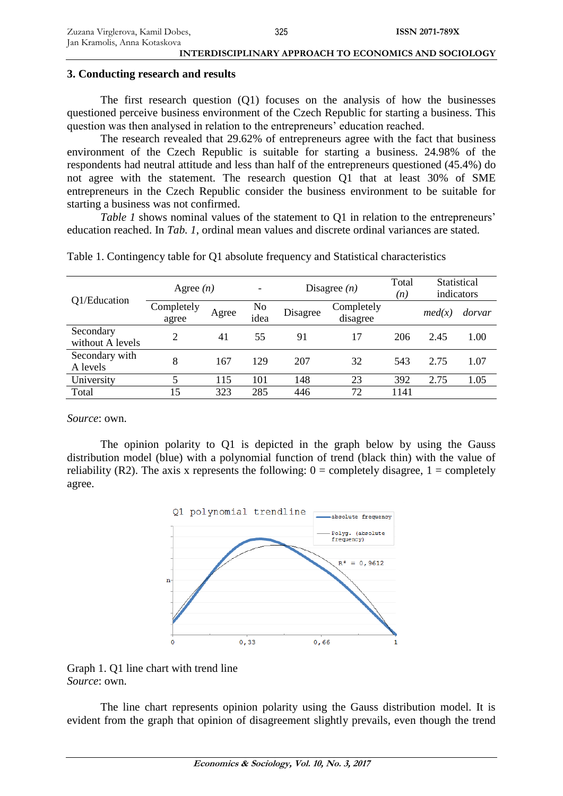#### **3. Conducting research and results**

The first research question (Q1) focuses on the analysis of how the businesses questioned perceive business environment of the Czech Republic for starting a business. This question was then analysed in relation to the entrepreneurs' education reached.

The research revealed that 29.62% of entrepreneurs agree with the fact that business environment of the Czech Republic is suitable for starting a business. 24.98% of the respondents had neutral attitude and less than half of the entrepreneurs questioned (45.4%) do not agree with the statement. The research question Q1 that at least 30% of SME entrepreneurs in the Czech Republic consider the business environment to be suitable for starting a business was not confirmed.

*Table 1* shows nominal values of the statement to Q1 in relation to the entrepreneurs' education reached. In *Tab. 1*, ordinal mean values and discrete ordinal variances are stated.

| Q1/Education                  | Agree $(n)$         |       | $\overline{\phantom{a}}$ | Disagree $(n)$ |                        | Total<br>(n) | Statistical<br>indicators |        |
|-------------------------------|---------------------|-------|--------------------------|----------------|------------------------|--------------|---------------------------|--------|
|                               | Completely<br>agree | Agree | No<br>idea               | Disagree       | Completely<br>disagree |              | med(x)                    | dorvar |
| Secondary<br>without A levels | $\overline{2}$      | 41    | 55                       | 91             | 17                     | 206          | 2.45                      | 1.00   |
| Secondary with<br>A levels    | 8                   | 167   | 129                      | 207            | 32                     | 543          | 2.75                      | 1.07   |
| University                    | 5                   | 115   | 101                      | 148            | 23                     | 392          | 2.75                      | 1.05   |
| Total                         | 15                  | 323   | 285                      | 446            | 72                     | 1141         |                           |        |

Table 1. Contingency table for Q1 absolute frequency and Statistical characteristics

*Source*: own.

The opinion polarity to Q1 is depicted in the graph below by using the Gauss distribution model (blue) with a polynomial function of trend (black thin) with the value of reliability (R2). The axis x represents the following:  $0 =$  completely disagree,  $1 =$  completely agree.





The line chart represents opinion polarity using the Gauss distribution model. It is evident from the graph that opinion of disagreement slightly prevails, even though the trend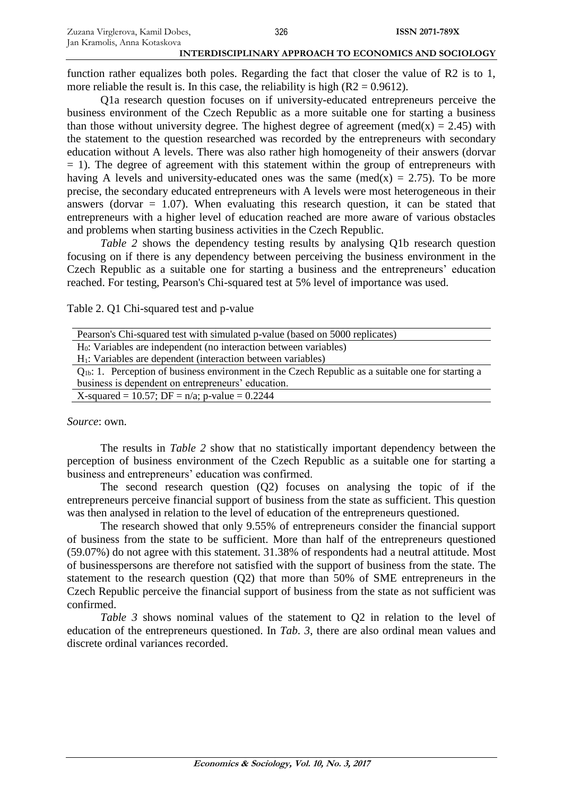function rather equalizes both poles. Regarding the fact that closer the value of R2 is to 1, more reliable the result is. In this case, the reliability is high  $(R2 = 0.9612)$ .

Q1a research question focuses on if university-educated entrepreneurs perceive the business environment of the Czech Republic as a more suitable one for starting a business than those without university degree. The highest degree of agreement (med(x) = 2.45) with the statement to the question researched was recorded by the entrepreneurs with secondary education without A levels. There was also rather high homogeneity of their answers (dorvar  $= 1$ ). The degree of agreement with this statement within the group of entrepreneurs with having A levels and university-educated ones was the same (med(x) = 2.75). To be more precise, the secondary educated entrepreneurs with A levels were most heterogeneous in their answers (dorvar  $= 1.07$ ). When evaluating this research question, it can be stated that entrepreneurs with a higher level of education reached are more aware of various obstacles and problems when starting business activities in the Czech Republic.

*Table 2* shows the dependency testing results by analysing Q1b research question focusing on if there is any dependency between perceiving the business environment in the Czech Republic as a suitable one for starting a business and the entrepreneurs' education reached. For testing, Pearson's Chi-squared test at 5% level of importance was used.

Table 2. Q1 Chi-squared test and p-value

| Pearson's Chi-squared test with simulated p-value (based on 5000 replicates)                            |  |  |  |  |
|---------------------------------------------------------------------------------------------------------|--|--|--|--|
| $H_0$ : Variables are independent (no interaction between variables)                                    |  |  |  |  |
| $H1$ : Variables are dependent (interaction between variables)                                          |  |  |  |  |
| $Q_{1b}$ : 1. Perception of business environment in the Czech Republic as a suitable one for starting a |  |  |  |  |
| business is dependent on entrepreneurs' education.                                                      |  |  |  |  |
| X-squared = 10.57; DF = $n/a$ ; p-value = 0.2244                                                        |  |  |  |  |
|                                                                                                         |  |  |  |  |

*Source*: own.

The results in *Table 2* show that no statistically important dependency between the perception of business environment of the Czech Republic as a suitable one for starting a business and entrepreneurs' education was confirmed.

The second research question (Q2) focuses on analysing the topic of if the entrepreneurs perceive financial support of business from the state as sufficient. This question was then analysed in relation to the level of education of the entrepreneurs questioned.

The research showed that only 9.55% of entrepreneurs consider the financial support of business from the state to be sufficient. More than half of the entrepreneurs questioned (59.07%) do not agree with this statement. 31.38% of respondents had a neutral attitude. Most of businesspersons are therefore not satisfied with the support of business from the state. The statement to the research question (Q2) that more than 50% of SME entrepreneurs in the Czech Republic perceive the financial support of business from the state as not sufficient was confirmed.

*Table 3* shows nominal values of the statement to Q2 in relation to the level of education of the entrepreneurs questioned. In *Tab. 3*, there are also ordinal mean values and discrete ordinal variances recorded.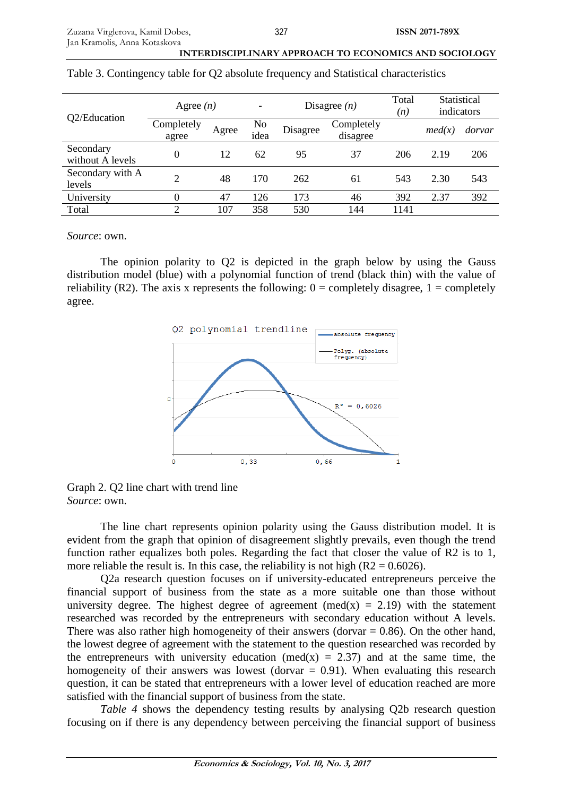| Q2/Education                  | Agree $(n)$         |       |             | Disagree $(n)$ |                        | Total<br>(n) | Statistical<br>indicators |        |
|-------------------------------|---------------------|-------|-------------|----------------|------------------------|--------------|---------------------------|--------|
|                               | Completely<br>agree | Agree | No.<br>idea | Disagree       | Completely<br>disagree |              | med(x)                    | dorvar |
| Secondary<br>without A levels | $\theta$            | 12    | 62          | 95             | 37                     | 206          | 2.19                      | 206    |
| Secondary with A<br>levels    | ↑                   | 48    | 170         | 262            | 61                     | 543          | 2.30                      | 543    |
| University                    |                     | 47    | 126         | 173            | 46                     | 392          | 2.37                      | 392    |
| Total                         |                     | 107   | 358         | 530            | 144                    | 1141         |                           |        |

Table 3. Contingency table for Q2 absolute frequency and Statistical characteristics

*Source*: own.

The opinion polarity to Q2 is depicted in the graph below by using the Gauss distribution model (blue) with a polynomial function of trend (black thin) with the value of reliability (R2). The axis x represents the following:  $0 =$  completely disagree,  $1 =$  completely agree.



Graph 2. Q2 line chart with trend line *Source*: own.

The line chart represents opinion polarity using the Gauss distribution model. It is evident from the graph that opinion of disagreement slightly prevails, even though the trend function rather equalizes both poles. Regarding the fact that closer the value of R2 is to 1, more reliable the result is. In this case, the reliability is not high  $(R2 = 0.6026)$ .

Q2a research question focuses on if university-educated entrepreneurs perceive the financial support of business from the state as a more suitable one than those without university degree. The highest degree of agreement (med(x) = 2.19) with the statement researched was recorded by the entrepreneurs with secondary education without A levels. There was also rather high homogeneity of their answers (dorvar  $= 0.86$ ). On the other hand, the lowest degree of agreement with the statement to the question researched was recorded by the entrepreneurs with university education (med(x) = 2.37) and at the same time, the homogeneity of their answers was lowest (dorvar  $= 0.91$ ). When evaluating this research question, it can be stated that entrepreneurs with a lower level of education reached are more satisfied with the financial support of business from the state.

*Table 4* shows the dependency testing results by analysing Q2b research question focusing on if there is any dependency between perceiving the financial support of business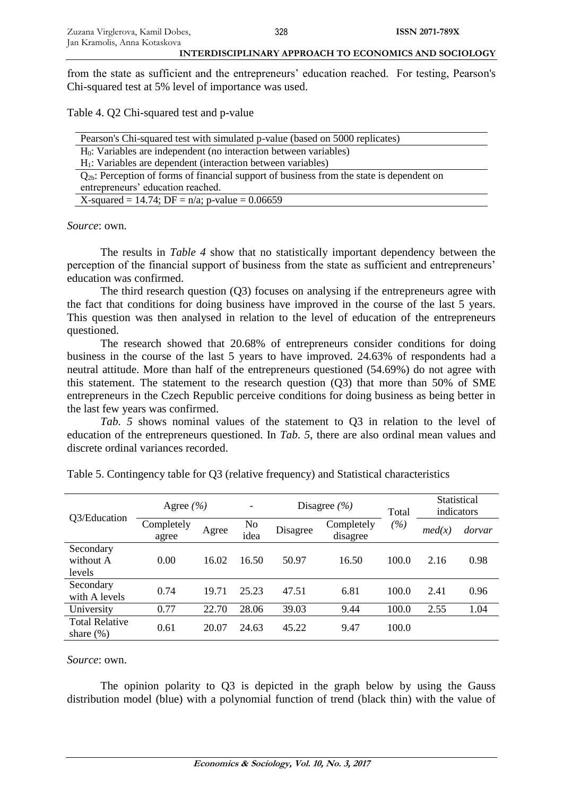from the state as sufficient and the entrepreneurs' education reached. For testing, Pearson's Chi-squared test at 5% level of importance was used.

Table 4. Q2 Chi-squared test and p-value

| Pearson's Chi-squared test with simulated p-value (based on 5000 replicates)                   |  |  |  |
|------------------------------------------------------------------------------------------------|--|--|--|
| $H0$ : Variables are independent (no interaction between variables)                            |  |  |  |
| $H1$ : Variables are dependent (interaction between variables)                                 |  |  |  |
| $Q_{2b}$ : Perception of forms of financial support of business from the state is dependent on |  |  |  |
| entrepreneurs' education reached.                                                              |  |  |  |
| X-squared = 14.74; DF = $n/a$ ; p-value = 0.06659                                              |  |  |  |

*Source*: own.

The results in *Table 4* show that no statistically important dependency between the perception of the financial support of business from the state as sufficient and entrepreneurs' education was confirmed.

The third research question (Q3) focuses on analysing if the entrepreneurs agree with the fact that conditions for doing business have improved in the course of the last 5 years. This question was then analysed in relation to the level of education of the entrepreneurs questioned.

The research showed that 20.68% of entrepreneurs consider conditions for doing business in the course of the last 5 years to have improved. 24.63% of respondents had a neutral attitude. More than half of the entrepreneurs questioned (54.69%) do not agree with this statement. The statement to the research question (Q3) that more than 50% of SME entrepreneurs in the Czech Republic perceive conditions for doing business as being better in the last few years was confirmed.

*Tab. 5* shows nominal values of the statement to Q3 in relation to the level of education of the entrepreneurs questioned. In *Tab. 5*, there are also ordinal mean values and discrete ordinal variances recorded.

| Q3/Education                          | Agree $(\% )$       |       |                        |          | Disagree $(\% )$       | Total         | Statistical<br>indicators |        |
|---------------------------------------|---------------------|-------|------------------------|----------|------------------------|---------------|---------------------------|--------|
|                                       | Completely<br>agree | Agree | N <sub>0</sub><br>idea | Disagree | Completely<br>disagree | $\frac{6}{2}$ | med(x)                    | dorvar |
| Secondary<br>without A<br>levels      | 0.00                | 16.02 | 16.50                  | 50.97    | 16.50                  | 100.0         | 2.16                      | 0.98   |
| Secondary<br>with A levels            | 0.74                | 19.71 | 25.23                  | 47.51    | 6.81                   | 100.0         | 2.41                      | 0.96   |
| University                            | 0.77                | 22.70 | 28.06                  | 39.03    | 9.44                   | 100.0         | 2.55                      | 1.04   |
| <b>Total Relative</b><br>share $(\%)$ | 0.61                | 20.07 | 24.63                  | 45.22    | 9.47                   | 100.0         |                           |        |

Table 5. Contingency table for Q3 (relative frequency) and Statistical characteristics

*Source*: own.

The opinion polarity to Q3 is depicted in the graph below by using the Gauss distribution model (blue) with a polynomial function of trend (black thin) with the value of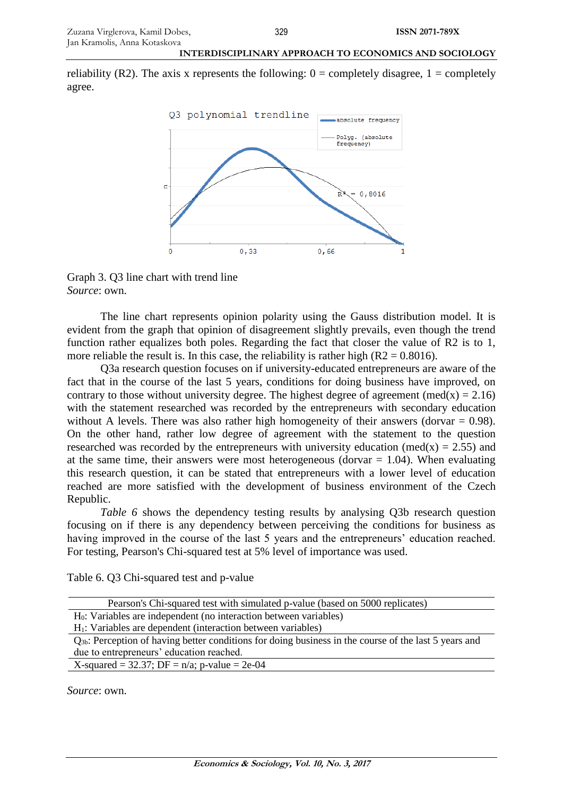reliability (R2). The axis x represents the following:  $0 =$  completely disagree,  $1 =$  completely agree.



Graph 3. Q3 line chart with trend line *Source*: own.

The line chart represents opinion polarity using the Gauss distribution model. It is evident from the graph that opinion of disagreement slightly prevails, even though the trend function rather equalizes both poles. Regarding the fact that closer the value of R2 is to 1, more reliable the result is. In this case, the reliability is rather high  $(R2 = 0.8016)$ .

Q3a research question focuses on if university-educated entrepreneurs are aware of the fact that in the course of the last 5 years, conditions for doing business have improved, on contrary to those without university degree. The highest degree of agreement (med(x) = 2.16) with the statement researched was recorded by the entrepreneurs with secondary education without A levels. There was also rather high homogeneity of their answers (dorvar  $= 0.98$ ). On the other hand, rather low degree of agreement with the statement to the question researched was recorded by the entrepreneurs with university education (med(x) = 2.55) and at the same time, their answers were most heterogeneous (dorvar  $= 1.04$ ). When evaluating this research question, it can be stated that entrepreneurs with a lower level of education reached are more satisfied with the development of business environment of the Czech Republic.

*Table 6* shows the dependency testing results by analysing Q3b research question focusing on if there is any dependency between perceiving the conditions for business as having improved in the course of the last 5 years and the entrepreneurs' education reached. For testing, Pearson's Chi-squared test at 5% level of importance was used.

Table 6. Q3 Chi-squared test and p-value

| Pearson's Chi-squared test with simulated p-value (based on 5000 replicates)                               |  |  |  |  |
|------------------------------------------------------------------------------------------------------------|--|--|--|--|
| H <sub>0</sub> : Variables are independent (no interaction between variables)                              |  |  |  |  |
| H <sub>1</sub> : Variables are dependent (interaction between variables)                                   |  |  |  |  |
| $Q_{3b}$ : Perception of having better conditions for doing business in the course of the last 5 years and |  |  |  |  |
| due to entrepreneurs' education reached.                                                                   |  |  |  |  |
| X-squared = 32.37; DF = $n/a$ ; p-value = 2e-04                                                            |  |  |  |  |
|                                                                                                            |  |  |  |  |

*Source*: own.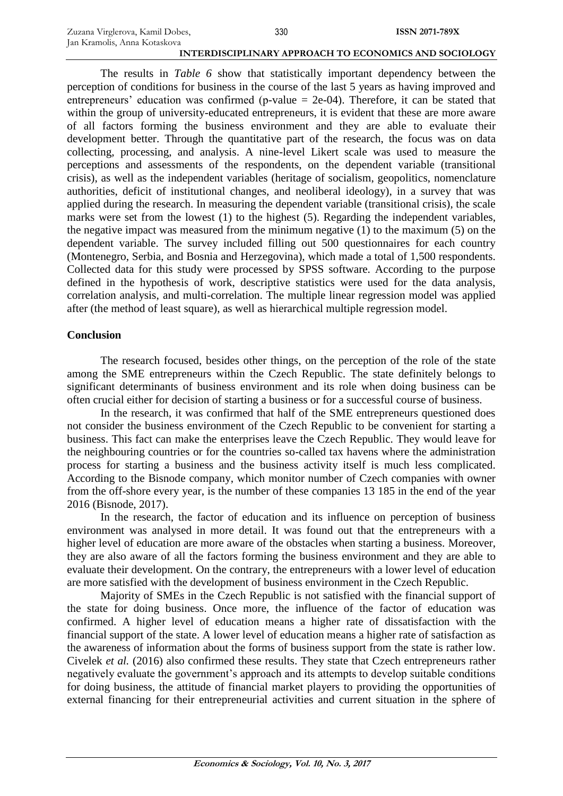The results in *Table 6* show that statistically important dependency between the perception of conditions for business in the course of the last 5 years as having improved and entrepreneurs' education was confirmed (p-value  $=$  2e-04). Therefore, it can be stated that within the group of university-educated entrepreneurs, it is evident that these are more aware of all factors forming the business environment and they are able to evaluate their development better. Through the quantitative part of the research, the focus was on data collecting, processing, and analysis. A nine-level Likert scale was used to measure the perceptions and assessments of the respondents, on the dependent variable (transitional crisis), as well as the independent variables (heritage of socialism, geopolitics, nomenclature authorities, deficit of institutional changes, and neoliberal ideology), in a survey that was applied during the research. In measuring the dependent variable (transitional crisis), the scale marks were set from the lowest (1) to the highest (5). Regarding the independent variables, the negative impact was measured from the minimum negative (1) to the maximum (5) on the dependent variable. The survey included filling out 500 questionnaires for each country (Montenegro, Serbia, and Bosnia and Herzegovina), which made a total of 1,500 respondents. Collected data for this study were processed by SPSS software. According to the purpose defined in the hypothesis of work, descriptive statistics were used for the data analysis, correlation analysis, and multi-correlation. The multiple linear regression model was applied after (the method of least square), as well as hierarchical multiple regression model.

## **Conclusion**

The research focused, besides other things, on the perception of the role of the state among the SME entrepreneurs within the Czech Republic. The state definitely belongs to significant determinants of business environment and its role when doing business can be often crucial either for decision of starting a business or for a successful course of business.

In the research, it was confirmed that half of the SME entrepreneurs questioned does not consider the business environment of the Czech Republic to be convenient for starting a business. This fact can make the enterprises leave the Czech Republic. They would leave for the neighbouring countries or for the countries so-called tax havens where the administration process for starting a business and the business activity itself is much less complicated. According to the Bisnode company, which monitor number of Czech companies with owner from the off-shore every year, is the number of these companies 13 185 in the end of the year 2016 (Bisnode, 2017).

In the research, the factor of education and its influence on perception of business environment was analysed in more detail. It was found out that the entrepreneurs with a higher level of education are more aware of the obstacles when starting a business. Moreover, they are also aware of all the factors forming the business environment and they are able to evaluate their development. On the contrary, the entrepreneurs with a lower level of education are more satisfied with the development of business environment in the Czech Republic.

Majority of SMEs in the Czech Republic is not satisfied with the financial support of the state for doing business. Once more, the influence of the factor of education was confirmed. A higher level of education means a higher rate of dissatisfaction with the financial support of the state. A lower level of education means a higher rate of satisfaction as the awareness of information about the forms of business support from the state is rather low. Civelek *et al.* (2016) also confirmed these results. They state that Czech entrepreneurs rather negatively evaluate the government's approach and its attempts to develop suitable conditions for doing business, the attitude of financial market players to providing the opportunities of external financing for their entrepreneurial activities and current situation in the sphere of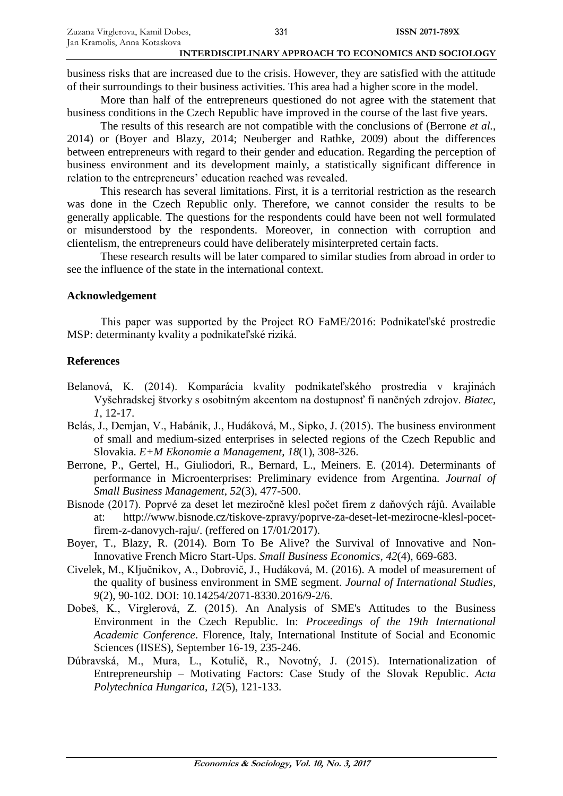business risks that are increased due to the crisis. However, they are satisfied with the attitude of their surroundings to their business activities. This area had a higher score in the model.

More than half of the entrepreneurs questioned do not agree with the statement that business conditions in the Czech Republic have improved in the course of the last five years.

The results of this research are not compatible with the conclusions of (Berrone *et al.*, 2014) or (Boyer and Blazy, 2014; Neuberger and Rathke, 2009) about the differences between entrepreneurs with regard to their gender and education. Regarding the perception of business environment and its development mainly, a statistically significant difference in relation to the entrepreneurs' education reached was revealed.

This research has several limitations. First, it is a territorial restriction as the research was done in the Czech Republic only. Therefore, we cannot consider the results to be generally applicable. The questions for the respondents could have been not well formulated or misunderstood by the respondents. Moreover, in connection with corruption and clientelism, the entrepreneurs could have deliberately misinterpreted certain facts.

These research results will be later compared to similar studies from abroad in order to see the influence of the state in the international context.

# **Acknowledgement**

This paper was supported by the Project RO FaME/2016: Podnikateľské prostredie MSP: determinanty kvality a podnikateľské riziká.

# **References**

- Belanová, K. (2014). Komparácia kvality podnikateľského prostredia v krajinách Vyšehradskej štvorky s osobitným akcentom na dostupnosť fi nančných zdrojov. *Biatec*, *1*, 12-17.
- Belás, J., Demjan, V., Habánik, J., Hudáková, M., Sipko, J. (2015). The business environment of small and medium-sized enterprises in selected regions of the Czech Republic and Slovakia. *E+M Ekonomie a Management*, *18*(1), 308-326.
- Berrone, P., Gertel, H., Giuliodori, R., Bernard, L., Meiners. E. (2014). Determinants of performance in Microenterprises: Preliminary evidence from Argentina. *Journal of Small Business Management*, *52*(3), 477-500.
- Bisnode (2017). Poprvé za deset let meziročně klesl počet firem z daňových rájů. Available at: http://www.bisnode.cz/tiskove-zpravy/poprve-za-deset-let-mezirocne-klesl-pocetfirem-z-danovych-raju/. (reffered on 17/01/2017).
- Boyer, T., Blazy, R. (2014). Born To Be Alive? the Survival of Innovative and Non-Innovative French Micro Start-Ups. *Small Business Economics*, *42*(4), 669-683.
- Civelek, M., Ključnikov, A., Dobrovič, J., Hudáková, M. (2016). A model of measurement of the quality of business environment in SME segment. *Journal of International Studies*, *9*(2), 90-102. DOI: 10.14254/2071-8330.2016/9-2/6.
- Dobeš, K., Virglerová, Z. (2015). An Analysis of SME's Attitudes to the Business Environment in the Czech Republic. In: *Proceedings of the 19th International Academic Conference*. Florence, Italy, International Institute of Social and Economic Sciences (IISES), September 16-19, 235-246.
- Dúbravská, M., Mura, L., Kotulič, R., Novotný, J. (2015). Internationalization of Entrepreneurship – Motivating Factors: Case Study of the Slovak Republic. *Acta Polytechnica Hungarica*, *12*(5), 121-133.